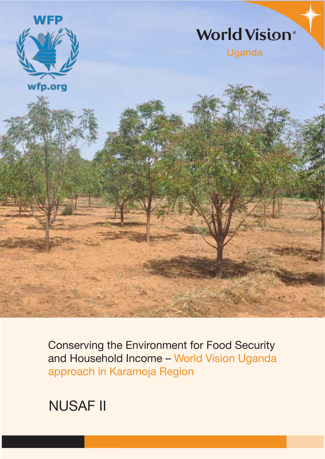

Conserving the Environment for Food Security and Household Income – World Vision Uganda approach in Karamoja Region

NUSAF II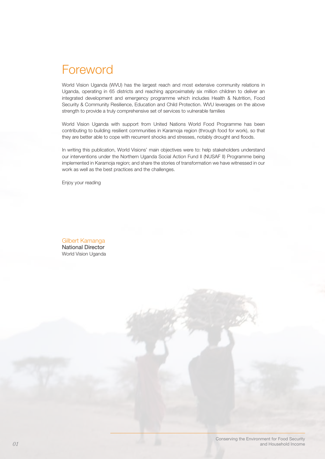## Foreword

World Vision Uganda (WVU) has the largest reach and most extensive community relations in Uganda, operating in 65 districts and reaching approximately six million children to deliver an integrated development and emergency programme which includes Health & Nutrition, Food Security & Community Resilience, Education and Child Protection. WVU leverages on the above strength to provide a truly comprehensive set of services to vulnerable families

World Vision Uganda with support from United Nations World Food Programme has been contributing to building resilient communities in Karamoja region (through food for work), so that they are better able to cope with recurrent shocks and stresses, notably drought and floods.

In writing this publication, World Visions' main objectives were to: help stakeholders understand our interventions under the Northern Uganda Social Action Fund II (NUSAF II) Programme being implemented in Karamoja region; and share the stories of transformation we have witnessed in our work as well as the best practices and the challenges.

Enjoy your reading

Gilbert Kamanga National Director World Vision Uganda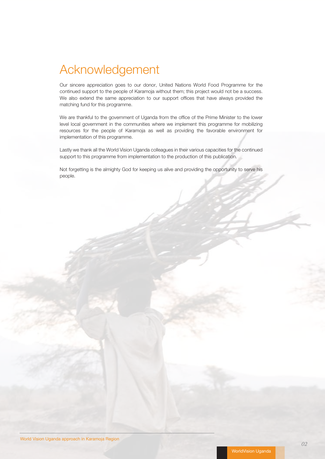## Acknowledgement

Our sincere appreciation goes to our donor, United Nations World Food Programme for the continued support to the people of Karamoja without them; this project would not be a success. We also extend the same appreciation to our support offices that have always provided the matching fund for this programme.

We are thankful to the government of Uganda from the office of the Prime Minister to the lower level local government in the communities where we implement this programme for mobilizing resources for the people of Karamoja as well as providing the favorable environment for implementation of this programme.

Lastly we thank all the World Vision Uganda colleagues in their various capacities for the continued support to this programme from implementation to the production of this publication.

Not forgetting is the almighty God for keeping us alive and providing the opportunity to serve his people.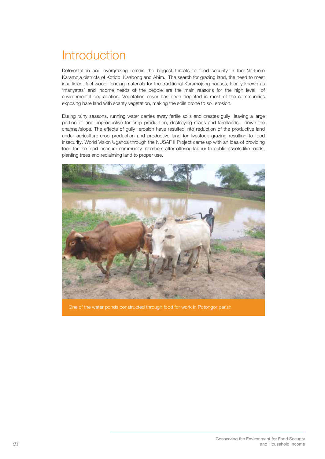# **Introduction**

Deforestation and overgrazing remain the biggest threats to food security in the Northern Karamoja districts of Kotido, Kaabong and Abim. The search for grazing land, the need to meet insufficient fuel wood, fencing materials for the traditional Karamojong houses, locally known as 'manyatas' and income needs of the people are the main reasons for the high level of environmental degradation. Vegetation cover has been depleted in most of the communities exposing bare land with scanty vegetation, making the soils prone to soil erosion.

During rainy seasons, running water carries away fertile soils and creates gully leaving a large portion of land unproductive for crop production, destroying roads and farmlands - down the channel/slops. The effects of gully erosion have resulted into reduction of the productive land under agriculture-crop production and productive land for livestock grazing resulting to food insecurity. World Vision Uganda through the NUSAF II Project came up with an idea of providing food for the food insecure community members after offering labour to public assets like roads, planting trees and reclaiming land to proper use.

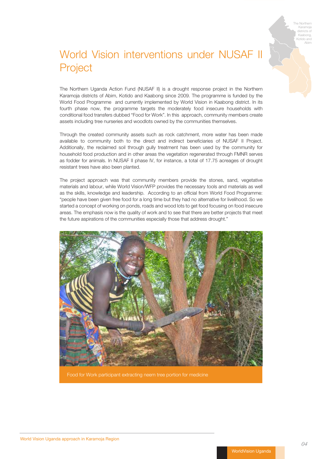

## World Vision interventions under NUSAF II Project

The Northern Uganda Action Fund (NUSAF II) is a drought response project in the Northern Karamoja districts of Abim, Kotido and Kaabong since 2009. The programme is funded by the World Food Programme and currently implemented by World Vision in Kaabong district. In its fourth phase now, the programme targets the moderately food insecure households with conditional food transfers dubbed "Food for Work". In this approach, community members create assets including tree nurseries and woodlots owned by the communities themselves.

Through the created community assets such as rock catchment, more water has been made available to community both to the direct and indirect beneficiaries of NUSAF II Project. Additionally, the reclaimed soil through gully treatment has been used by the community for household food production and in other areas the vegetation regenerated through FMNR serves as fodder for animals. In NUSAF II phase IV, for instance, a total of 17.75 acreages of drought resistant trees have also been planted.

The project approach was that community members provide the stones, sand, vegetative materials and labour, while World Vision/WFP provides the necessary tools and materials as well as the skills, knowledge and leadership. According to an official from World Food Programme: "people have been given free food for a long time but they had no alternative for livelihood. So we started a concept of working on ponds, roads and wood lots to get food focusing on food insecure areas. The emphasis now is the quality of work and to see that there are better projects that meet the future aspirations of the communities especially those that address drought."



Food for Work participant extracting neem tree portion for medicine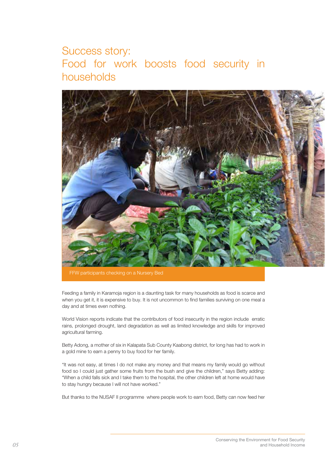### Success story: Food for work boosts food security in households



Feeding a family in Karamoja region is a daunting task for many households as food is scarce and when you get it, it is expensive to buy. It is not uncommon to find families surviving on one meal a day and at times even nothing.

World Vision reports indicate that the contributors of food insecurity in the region include erratic rains, prolonged drought, land degradation as well as limited knowledge and skills for improved agricultural farming.

Betty Adong, a mother of six in Kalapata Sub County Kaabong district, for long has had to work in a gold mine to earn a penny to buy food for her family.

"It was not easy, at times I do not make any money and that means my family would go without food so I could just gather some fruits from the bush and give the children," says Betty adding: "When a child falls sick and I take them to the hospital, the other children left at home would have to stay hungry because I will not have worked."

But thanks to the NUSAF II programme where people work to earn food, Betty can now feed her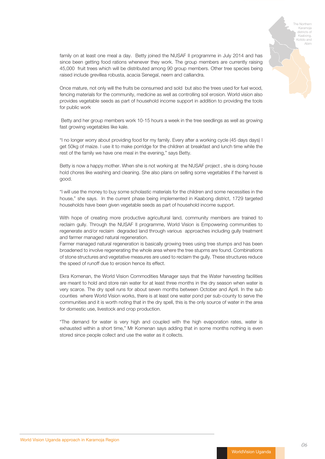

family on at least one meal a day. Betty joined the NUSAF II programme in July 2014 and has since been getting food rations whenever they work. The group members are currently raising 45,000 fruit trees which will be distributed among 90 group members. Other tree species being raised include grevillea robusta, acacia Senegal, neem and calliandra.

Once mature, not only will the fruits be consumed and sold but also the trees used for fuel wood, fencing materials for the community, medicine as well as controlling soil erosion. World vision also provides vegetable seeds as part of household income support in addition to providing the tools for public work

 Betty and her group members work 10-15 hours a week in the tree seedlings as well as growing fast growing vegetables like kale.

"I no longer worry about providing food for my family. Every after a working cycle (45 days days) I get 50kg of maize. I use it to make porridge for the children at breakfast and lunch time while the rest of the family we have one meal in the evening," says Betty.

Betty is now a happy mother. When she is not working at the NUSAF project , she is doing house hold chores like washing and cleaning. She also plans on selling some vegetables if the harvest is good.

"I will use the money to buy some scholastic materials for the children and some necessities in the house," she says. In the current phase being implemented in Kaabong district, 1729 targeted households have been given vegetable seeds as part of household income support.

With hope of creating more productive agricultural land, community members are trained to reclaim gully. Through the NUSAF II programme, World Vision is Empowering communities to regenerate and/or reclaim degraded land through various approaches including gully treatment and farmer managed natural regeneration.

Farmer managed natural regeneration is basically growing trees using tree stumps and has been broadened to involve regenerating the whole area where the tree stupms are found. Combinations of stone structures and vegetative measures are used to reclaim the gully. These structures reduce the speed of runoff due to erosion hence its effect.

Ekra Komenan, the World Vision Commodities Manager says that the Water harvesting facilities are meant to hold and store rain water for at least three months in the dry season when water is very scarce. The dry spell runs for about seven months between October and April. In the sub counties where World Vision works, there is at least one water pond per sub-county to serve the communities and it is worth noting that in the dry spell, this is the only source of water in the area for domestic use, livestock and crop production.

"The demand for water is very high and coupled with the high evaporation rates, water is exhausted within a short time," Mr Komenan says adding that in some months nothing is even stored since people collect and use the water as it collects.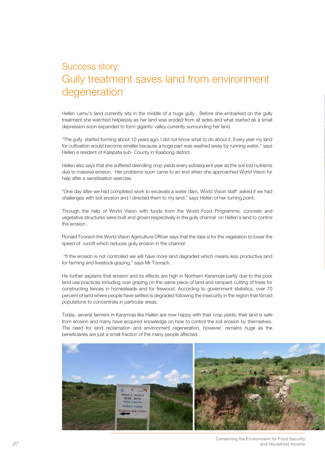### Success story: Gully treatment saves land from environment degeneration

Hellen Lemu's land currently sits in the middle of a huge gully . Before she embarked on the gully treatment she watched helplessly as her land was eroded from all sides and what started as a small depression soon expanded to form gigantic valley currently surrounding her land.

"The gully started forming about 10 years ago; I did not know what to do about it. Every year my land for cultivation would become smaller because a huge part was washed away by running water," says Hellen a resident of Kalapata sub- County in Kaabong district.

Hellen also says that she suffered dwindling crop yields every subsequent year as the soil lost nutrients due to massive erosion. Her problems soon came to an end when she approached World Vision for help after a sensitisation exercise.

"One day after we had completed work to excavate a water dam, World Vision staff asked if we had challenges with soil erosion and I directed them to my land," says Hellen of her turning point.

Through the help of World Vision with funds from the World Food Programme, concrete and vegetative structures were built and grown respectively in the gully channel on Hellen's land to control the erosion .

Ronald Toorach the World Vision Agriculture Officer says that the idea is for the vegetation to lower the speed of runoff which reduces gully erosion in the channel.

 "If the erosion is not controlled we will have more land degraded which means less productive land for farming and livestock grazing," says Mr Toorach.

He further explains that erosion and its effects are high in Northern Karamoja partly due to the poor land use practices including over grazing on the same piece of land and rampant cutting of trees for constructing fences in homesteads and for firewood. According to government statistics, over 70 percent of land where people have settled is degraded following the insecurity in the region that forced populations to concentrate in particular areas.

Today, several farmers in Karamoja like Hellen are now happy with their crop yields; their land is safe from erosion and many have acquired knowledge on how to control the soil erosion by themselves. The need for land reclamation and environment regeneration, however, remains huge as the beneficiaries are just a small fraction of the many people affected.



Conserving the Environment for Food Security *07* and Household Income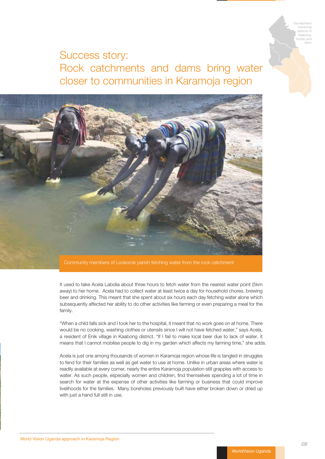The Northern Karamoja districts of Kaabong, Kotido and Abim

### Success story: Rock catchments and dams bring water closer to communities in Karamoja region



It used to take Acela Labolia about three hours to fetch water from the nearest water point (5km away) to her home. Acela had to collect water at least twice a day for household chores, brewing beer and drinking. This meant that she spent about six hours each day fetching water alone which subsequently affected her ability to do other activities like farming or even preparing a meal for the family.

"When a child falls sick and I took her to the hospital, it meant that no work goes on at home. There would be no cooking, washing clothes or utensils since I will not have fetched water," says Acela, a resident of Enik village in Kaabong district. "If I fail to make local beer due to lack of water, it means that I cannot mobilise people to dig in my garden which affects my farming time," she adds.

Acela is just one among thousands of women in Karamoja region whose life is tangled in struggles to fend for their families as well as get water to use at home. Unlike in urban areas where water is readily available at every corner, nearly the entire Karamoja population still grapples with access to water. As such people, especially women and children, find themselves spending a lot of time in search for water at the expense of other activities like farming or business that could improve livelihoods for the families. Many boreholes previously built have either broken down or dried up with just a hand full still in use.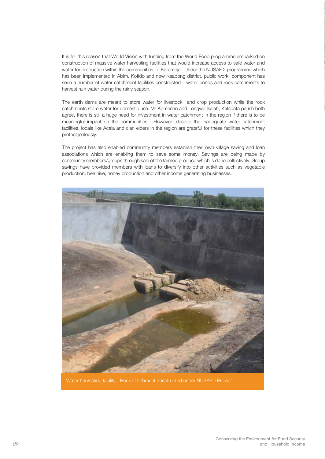It is for this reason that World Vision with funding from the World Food programme embarked on construction of massive water harvesting facilities that would increase access to safe water and water for production within the communities of Karamoja . Under the NUSAF 2 programme which has been implemented in Abim, Kotido and now Kaabong district, public work component has seen a number of water catchment facilities constructed – water ponds and rock catchments to harvest rain water during the rainy season.

The earth dams are meant to store water for livestock and crop production while the rock catchments store water for domestic use. Mr Komenan and Longwe Isaiah, Kalapata parish both agree, there is still a huge need for investment in water catchment in the region if there is to be meaningful impact on the communities. However, despite the inadequate water catchment facilities, locals like Acela and clan elders in the region are grateful for these facilities which they protect jealously.

The project has also enabled community members establish their own village saving and loan associations which are enabling them to save some money. Savings are being made by community members/groups through sale of the farmed produce which is done collectively. Group savings have provided members with loans to diversify into other activities such as vegetable production, bee hive, honey production and other income generating businesses.



Water harvesting facility - Rock Catchment constructed under NUSAF II Project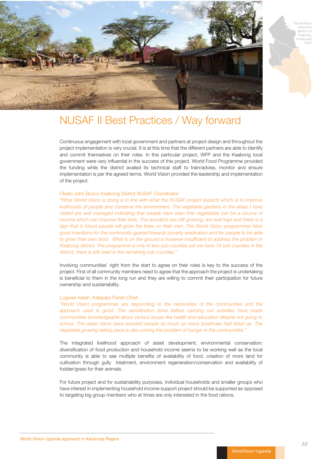

The Northern Karamoja districts of Kaabong, Kotido and Abim

### NUSAF II Best Practices / Way forward

Continuous engagement with local government and partners at project design and throughout the project implementation is very crucial. It is at this time that the different partners are able to identify and commit themselves on their roles. In this particular project, WFP and the Kaabong local government were very influential in the success of this project. World Food Programme provided the funding while the district availed its technical staff to train/advise, monitor and ensure implementation is per the agreed terms. World Vision provided the leadership and implementation of the project.

#### Okello John Bosco Kaabong District NUSAF Coordinator

*"What World Vision is doing is in line with what the NUSAF project expects which is to improve livelihoods of people and conserve the environment. The vegetable gardens in the areas I have*  visited are well managed indicating that people have seen that vegetables can be a source of *income which can improve their lives. The woodlots are still growing, are well kept and there is a sign that in future people will grow the trees on their own. The World Vision programmes have good intentions for the community geared towards poverty eradication and for people to be able*  to grow their own food. What is on the ground is however insufficient to address the problem in *Kaabong district. The programme is only in two sub counties yet we have 14 sub counties in the district, there is still need in the remaining sub counties."* 

Involving communities' right from the start to agree on their roles is key to the success of the project. First of all community members need to agree that the approach the project is undertaking is beneficial to them in the long run and they are willing to commit their participation for future ownership and sustainability.

#### Logwee Isaiah, Kalapata Parish Chief:

*"World Vision programmes are responding to the necessities of the communities and the approach used is good. The sensitization done before carrying out activities have made communities knowledgeable about various issues like health and education despite not going to school. The water dams have assisted people so much as many boreholes had dried up. The vegetable growing taking place is also solving the problem of hunger in the communities."* 

The integrated livelihood approach of asset development; environmental conservation; diversification of food production and household income seems to be working well as the local community is able to see multiple benefits of availability of food, creation of more land for cultivation through gully treatment, environment regeneration/conservation and availability of fodder/grass for their animals.

For future project and for sustainability purposes, individual households and smaller groups who have interest in implementing household income support project should be supported as opposed to targeting big group members who at times are only interested in the food rations.